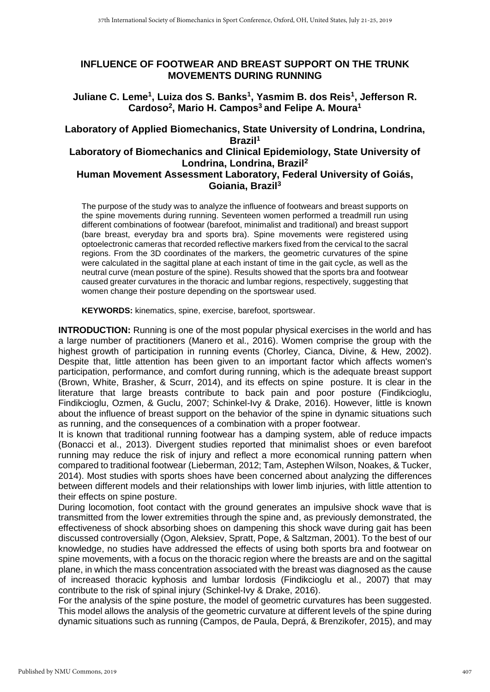## **INFLUENCE OF FOOTWEAR AND BREAST SUPPORT ON THE TRUNK MOVEMENTS DURING RUNNING**

## **Juliane C. Leme<sup>1</sup> , Luiza dos S. Banks<sup>1</sup> , Yasmim B. dos Reis<sup>1</sup> , Jefferson R. Cardoso<sup>2</sup> , Mario H. Campos<sup>3</sup> and Felipe A. Moura<sup>1</sup>**

# **Laboratory of Applied Biomechanics, State University of Londrina, Londrina, Brazil<sup>1</sup> Laboratory of Biomechanics and Clinical Epidemiology, State University of**

### **Londrina, Londrina, Brazil<sup>2</sup> Human Movement Assessment Laboratory, Federal University of Goiás, Goiania, Brazil<sup>3</sup>**

The purpose of the study was to analyze the influence of footwears and breast supports on the spine movements during running. Seventeen women performed a treadmill run using different combinations of footwear (barefoot, minimalist and traditional) and breast support (bare breast, everyday bra and sports bra). Spine movements were registered using optoelectronic cameras that recorded reflective markers fixed from the cervical to the sacral regions. From the 3D coordinates of the markers, the geometric curvatures of the spine were calculated in the sagittal plane at each instant of time in the gait cycle, as well as the neutral curve (mean posture of the spine). Results showed that the sports bra and footwear caused greater curvatures in the thoracic and lumbar regions, respectively, suggesting that women change their posture depending on the sportswear used.

**KEYWORDS:** kinematics, spine, exercise, barefoot, sportswear.

**INTRODUCTION:** Running is one of the most popular physical exercises in the world and has a large number of practitioners (Manero et al., 2016). Women comprise the group with the highest growth of participation in running events (Chorley, Cianca, Divine, & Hew, 2002). Despite that, little attention has been given to an important factor which affects women's participation, performance, and comfort during running, which is the adequate breast support (Brown, White, Brasher, & Scurr, 2014), and its effects on spine posture. It is clear in the literature that large breasts contribute to back pain and poor posture (Findikcioglu, Findikcioglu, Ozmen, & Guclu, 2007; Schinkel-Ivy & Drake, 2016). However, little is known about the influence of breast support on the behavior of the spine in dynamic situations such as running, and the consequences of a combination with a proper footwear.

It is known that traditional running footwear has a damping system, able of reduce impacts (Bonacci et al., 2013). Divergent studies reported that minimalist shoes or even barefoot running may reduce the risk of injury and reflect a more economical running pattern when compared to traditional footwear (Lieberman, 2012; Tam, Astephen Wilson, Noakes, & Tucker, 2014). Most studies with sports shoes have been concerned about analyzing the differences between different models and their relationships with lower limb injuries, with little attention to their effects on spine posture.

During locomotion, foot contact with the ground generates an impulsive shock wave that is transmitted from the lower extremities through the spine and, as previously demonstrated, the effectiveness of shock absorbing shoes on dampening this shock wave during gait has been discussed controversially (Ogon, Aleksiev, Spratt, Pope, & Saltzman, 2001). To the best of our knowledge, no studies have addressed the effects of using both sports bra and footwear on spine movements, with a focus on the thoracic region where the breasts are and on the sagittal plane, in which the mass concentration associated with the breast was diagnosed as the cause of increased thoracic kyphosis and lumbar lordosis (Findikcioglu et al., 2007) that may contribute to the risk of spinal injury (Schinkel-Ivy & Drake, 2016).

For the analysis of the spine posture, the model of geometric curvatures has been suggested. This model allows the analysis of the geometric curvature at different levels of the spine during dynamic situations such as running (Campos, de Paula, Deprá, & Brenzikofer, 2015), and may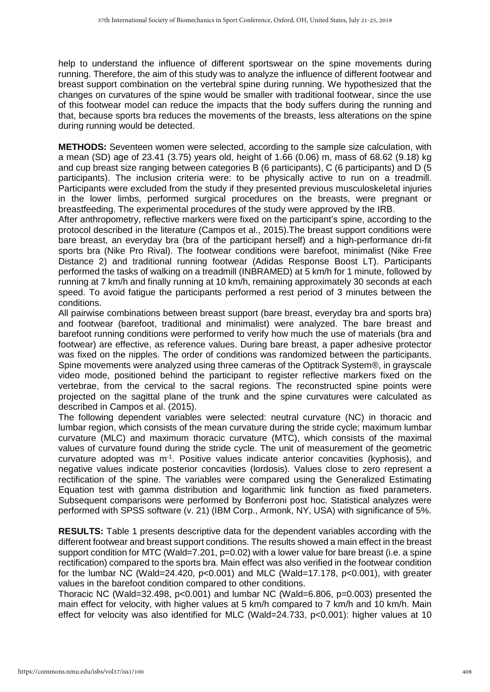help to understand the influence of different sportswear on the spine movements during running. Therefore, the aim of this study was to analyze the influence of different footwear and breast support combination on the vertebral spine during running. We hypothesized that the changes on curvatures of the spine would be smaller with traditional footwear, since the use of this footwear model can reduce the impacts that the body suffers during the running and that, because sports bra reduces the movements of the breasts, less alterations on the spine during running would be detected.

**METHODS:** Seventeen women were selected, according to the sample size calculation, with a mean (SD) age of 23.41 (3.75) years old, height of 1.66 (0.06) m, mass of 68.62 (9.18) kg and cup breast size ranging between categories B (6 participants), C (6 participants) and D (5 participants). The inclusion criteria were: to be physically active to run on a treadmill. Participants were excluded from the study if they presented previous musculoskeletal injuries in the lower limbs, performed surgical procedures on the breasts, were pregnant or breastfeeding. The experimental procedures of the study were approved by the IRB.

After anthropometry, reflective markers were fixed on the participant's spine, according to the protocol described in the literature (Campos et al., 2015).The breast support conditions were bare breast, an everyday bra (bra of the participant herself) and a high-performance dri-fit sports bra (Nike Pro Rival). The footwear conditions were barefoot, minimalist (Nike Free Distance 2) and traditional running footwear (Adidas Response Boost LT). Participants performed the tasks of walking on a treadmill (INBRAMED) at 5 km/h for 1 minute, followed by running at 7 km/h and finally running at 10 km/h, remaining approximately 30 seconds at each speed. To avoid fatigue the participants performed a rest period of 3 minutes between the conditions.

All pairwise combinations between breast support (bare breast, everyday bra and sports bra) and footwear (barefoot, traditional and minimalist) were analyzed. The bare breast and barefoot running conditions were performed to verify how much the use of materials (bra and footwear) are effective, as reference values. During bare breast, a paper adhesive protector was fixed on the nipples. The order of conditions was randomized between the participants. Spine movements were analyzed using three cameras of the Optitrack System®, in grayscale video mode, positioned behind the participant to register reflective markers fixed on the vertebrae, from the cervical to the sacral regions. The reconstructed spine points were projected on the sagittal plane of the trunk and the spine curvatures were calculated as described in Campos et al. (2015).

The following dependent variables were selected: neutral curvature (NC) in thoracic and lumbar region, which consists of the mean curvature during the stride cycle; maximum lumbar curvature (MLC) and maximum thoracic curvature (MTC), which consists of the maximal values of curvature found during the stride cycle. The unit of measurement of the geometric curvature adopted was m<sup>-1</sup>. Positive values indicate anterior concavities (kyphosis), and negative values indicate posterior concavities (lordosis). Values close to zero represent a rectification of the spine. The variables were compared using the Generalized Estimating Equation test with gamma distribution and logarithmic link function as fixed parameters. Subsequent comparisons were performed by Bonferroni post hoc. Statistical analyzes were performed with SPSS software (v. 21) (IBM Corp., Armonk, NY, USA) with significance of 5%.

**RESULTS:** Table 1 presents descriptive data for the dependent variables according with the different footwear and breast support conditions. The results showed a main effect in the breast support condition for MTC (Wald=7.201, p=0.02) with a lower value for bare breast (i.e. a spine rectification) compared to the sports bra. Main effect was also verified in the footwear condition for the lumbar NC (Wald=24.420,  $p<0.001$ ) and MLC (Wald=17.178,  $p<0.001$ ), with greater values in the barefoot condition compared to other conditions.

Thoracic NC (Wald=32.498, p<0.001) and lumbar NC (Wald=6.806, p=0.003) presented the main effect for velocity, with higher values at 5 km/h compared to 7 km/h and 10 km/h. Main effect for velocity was also identified for MLC (Wald=24.733, p<0.001): higher values at 10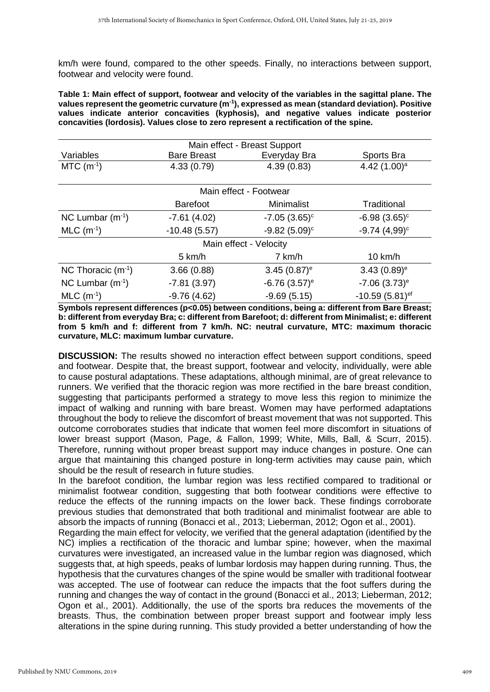km/h were found, compared to the other speeds. Finally, no interactions between support, footwear and velocity were found.

**Table 1: Main effect of support, footwear and velocity of the variables in the sagittal plane. The values represent the geometric curvature (m-1 ), expressed as mean (standard deviation). Positive values indicate anterior concavities (kyphosis), and negative values indicate posterior concavities (lordosis). Values close to zero represent a rectification of the spine.**

| Main effect - Breast Support |                    |              |                 |  |  |
|------------------------------|--------------------|--------------|-----------------|--|--|
| Variables                    | <b>Bare Breast</b> | Everyday Bra | Sports Bra      |  |  |
| $MTC$ (m <sup>-1</sup> )     | 4.33(0.79)         | 4.39(0.83)   | 4.42 $(1.00)^a$ |  |  |
| Main effect - Footwear       |                    |              |                 |  |  |
|                              | <b>Barefoot</b>    | Minimalist   | Traditional     |  |  |

| NC Lumbar $(m^{-1})$     | $-7.61(4.02)$  | $-7.05(3.65)^c$            | $-6.98(3.65)^c$           |  |
|--------------------------|----------------|----------------------------|---------------------------|--|
| $MLC$ (m <sup>-1</sup> ) | $-10.48(5.57)$ | $-9.82(5.09)$ <sup>c</sup> | $-9.74(4.99)^c$           |  |
| Main effect - Velocity   |                |                            |                           |  |
|                          | 5 km/h         | 7 km/h                     | 10 km/h                   |  |
| NC Thoracic $(m^{-1})$   | 3.66(0.88)     | $3.45(0.87)$ <sup>e</sup>  | $3.43(0.89)$ <sup>e</sup> |  |
| NC Lumbar $(m-1)$        | $-7.81(3.97)$  | $-6.76(3.57)$ <sup>e</sup> | $-7.06$ $(3.73)^e$        |  |
| $MLC$ (m <sup>-1</sup> ) | $-9.76(4.62)$  | $-9.69(5.15)$              | $-10.59(5.81)$ ef         |  |

**Symbols represent differences (p<0.05) between conditions, being a: different from Bare Breast; b: different from everyday Bra; c: different from Barefoot; d: different from Minimalist; e: different from 5 km/h and f: different from 7 km/h. NC: neutral curvature, MTC: maximum thoracic curvature, MLC: maximum lumbar curvature.**

**DISCUSSION:** The results showed no interaction effect between support conditions, speed and footwear. Despite that, the breast support, footwear and velocity, individually, were able to cause postural adaptations. These adaptations, although minimal, are of great relevance to runners. We verified that the thoracic region was more rectified in the bare breast condition, suggesting that participants performed a strategy to move less this region to minimize the impact of walking and running with bare breast. Women may have performed adaptations throughout the body to relieve the discomfort of breast movement that was not supported. This outcome corroborates studies that indicate that women feel more discomfort in situations of lower breast support (Mason, Page, & Fallon, 1999; White, Mills, Ball, & Scurr, 2015). Therefore, running without proper breast support may induce changes in posture. One can argue that maintaining this changed posture in long-term activities may cause pain, which should be the result of research in future studies.

In the barefoot condition, the lumbar region was less rectified compared to traditional or minimalist footwear condition, suggesting that both footwear conditions were effective to reduce the effects of the running impacts on the lower back. These findings corroborate previous studies that demonstrated that both traditional and minimalist footwear are able to absorb the impacts of running (Bonacci et al., 2013; Lieberman, 2012; Ogon et al., 2001).

Regarding the main effect for velocity, we verified that the general adaptation (identified by the NC) implies a rectification of the thoracic and lumbar spine; however, when the maximal curvatures were investigated, an increased value in the lumbar region was diagnosed, which suggests that, at high speeds, peaks of lumbar lordosis may happen during running. Thus, the hypothesis that the curvatures changes of the spine would be smaller with traditional footwear was accepted. The use of footwear can reduce the impacts that the foot suffers during the running and changes the way of contact in the ground (Bonacci et al., 2013; Lieberman, 2012; Ogon et al., 2001). Additionally, the use of the sports bra reduces the movements of the breasts. Thus, the combination between proper breast support and footwear imply less alterations in the spine during running. This study provided a better understanding of how the